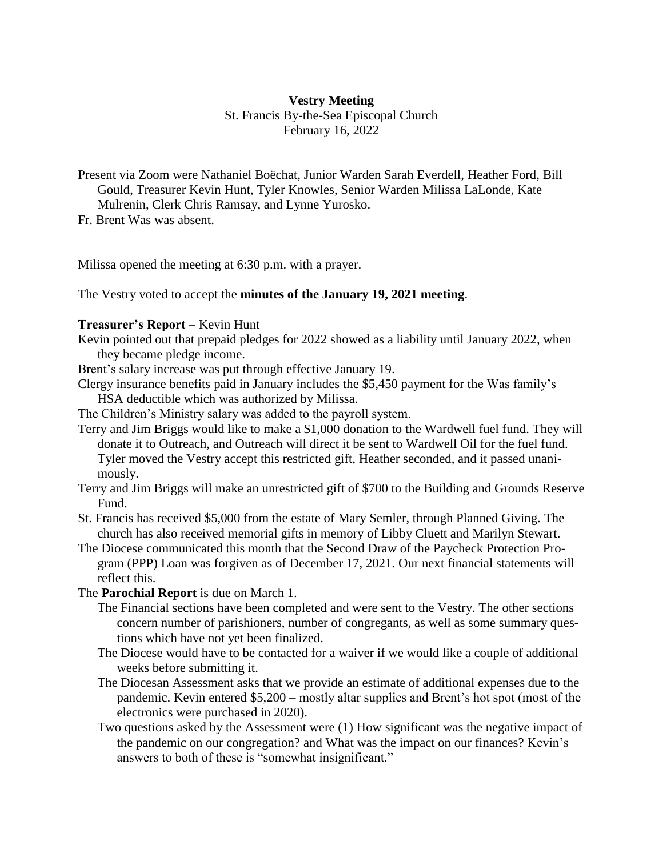# **Vestry Meeting** St. Francis By-the-Sea Episcopal Church February 16, 2022

Present via Zoom were Nathaniel Boëchat, Junior Warden Sarah Everdell, Heather Ford, Bill Gould, Treasurer Kevin Hunt, Tyler Knowles, Senior Warden Milissa LaLonde, Kate Mulrenin, Clerk Chris Ramsay, and Lynne Yurosko.

Fr. Brent Was was absent.

Milissa opened the meeting at 6:30 p.m. with a prayer.

The Vestry voted to accept the **minutes of the January 19, 2021 meeting**.

## **Treasurer's Report** – Kevin Hunt

Kevin pointed out that prepaid pledges for 2022 showed as a liability until January 2022, when they became pledge income.

Brent's salary increase was put through effective January 19.

Clergy insurance benefits paid in January includes the \$5,450 payment for the Was family's HSA deductible which was authorized by Milissa.

The Children's Ministry salary was added to the payroll system.

- Terry and Jim Briggs would like to make a \$1,000 donation to the Wardwell fuel fund. They will donate it to Outreach, and Outreach will direct it be sent to Wardwell Oil for the fuel fund. Tyler moved the Vestry accept this restricted gift, Heather seconded, and it passed unanimously.
- Terry and Jim Briggs will make an unrestricted gift of \$700 to the Building and Grounds Reserve Fund.
- St. Francis has received \$5,000 from the estate of Mary Semler, through Planned Giving. The church has also received memorial gifts in memory of Libby Cluett and Marilyn Stewart.
- The Diocese communicated this month that the Second Draw of the Paycheck Protection Program (PPP) Loan was forgiven as of December 17, 2021. Our next financial statements will reflect this.

The **Parochial Report** is due on March 1.

- The Financial sections have been completed and were sent to the Vestry. The other sections concern number of parishioners, number of congregants, as well as some summary questions which have not yet been finalized.
- The Diocese would have to be contacted for a waiver if we would like a couple of additional weeks before submitting it.
- The Diocesan Assessment asks that we provide an estimate of additional expenses due to the pandemic. Kevin entered \$5,200 – mostly altar supplies and Brent's hot spot (most of the electronics were purchased in 2020).
- Two questions asked by the Assessment were (1) How significant was the negative impact of the pandemic on our congregation? and What was the impact on our finances? Kevin's answers to both of these is "somewhat insignificant."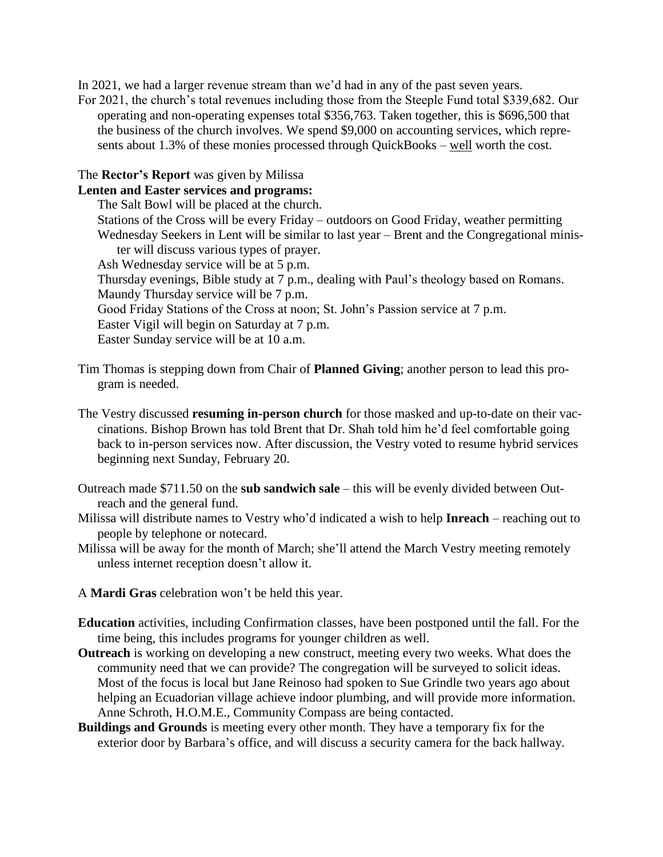In 2021, we had a larger revenue stream than we'd had in any of the past seven years.

For 2021, the church's total revenues including those from the Steeple Fund total \$339,682. Our operating and non-operating expenses total \$356,763. Taken together, this is \$696,500 that the business of the church involves. We spend \$9,000 on accounting services, which represents about 1.3% of these monies processed through QuickBooks – well worth the cost.

## The **Rector's Report** was given by Milissa

#### **Lenten and Easter services and programs:**

The Salt Bowl will be placed at the church. Stations of the Cross will be every Friday – outdoors on Good Friday, weather permitting

Wednesday Seekers in Lent will be similar to last year – Brent and the Congregational minister will discuss various types of prayer.

Ash Wednesday service will be at 5 p.m.

Thursday evenings, Bible study at 7 p.m., dealing with Paul's theology based on Romans. Maundy Thursday service will be 7 p.m.

Good Friday Stations of the Cross at noon; St. John's Passion service at 7 p.m.

Easter Vigil will begin on Saturday at 7 p.m.

Easter Sunday service will be at 10 a.m.

- Tim Thomas is stepping down from Chair of **Planned Giving**; another person to lead this program is needed.
- The Vestry discussed **resuming in-person church** for those masked and up-to-date on their vaccinations. Bishop Brown has told Brent that Dr. Shah told him he'd feel comfortable going back to in-person services now. After discussion, the Vestry voted to resume hybrid services beginning next Sunday, February 20.
- Outreach made \$711.50 on the **sub sandwich sale** this will be evenly divided between Outreach and the general fund.
- Milissa will distribute names to Vestry who'd indicated a wish to help **Inreach** reaching out to people by telephone or notecard.
- Milissa will be away for the month of March; she'll attend the March Vestry meeting remotely unless internet reception doesn't allow it.
- A **Mardi Gras** celebration won't be held this year.
- **Education** activities, including Confirmation classes, have been postponed until the fall. For the time being, this includes programs for younger children as well.
- **Outreach** is working on developing a new construct, meeting every two weeks. What does the community need that we can provide? The congregation will be surveyed to solicit ideas. Most of the focus is local but Jane Reinoso had spoken to Sue Grindle two years ago about helping an Ecuadorian village achieve indoor plumbing, and will provide more information. Anne Schroth, H.O.M.E., Community Compass are being contacted.
- **Buildings and Grounds** is meeting every other month. They have a temporary fix for the exterior door by Barbara's office, and will discuss a security camera for the back hallway.